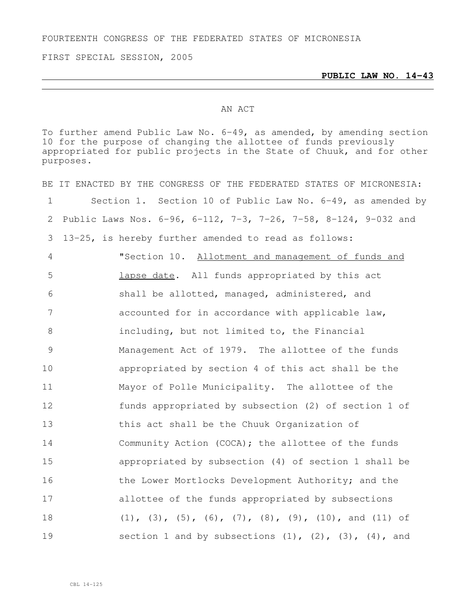FOURTEENTH CONGRESS OF THE FEDERATED STATES OF MICRONESIA

FIRST SPECIAL SESSION, 2005

## AN ACT

To further amend Public Law No. 6-49, as amended, by amending section for the purpose of changing the allottee of funds previously appropriated for public projects in the State of Chuuk, and for other purposes.

|               | BE IT ENACTED BY THE CONGRESS OF THE FEDERATED STATES OF MICRONESIA:           |
|---------------|--------------------------------------------------------------------------------|
| 1             | Section 1. Section 10 of Public Law No. 6-49, as amended by                    |
| 2             | Public Laws Nos. 6-96, 6-112, 7-3, 7-26, 7-58, 8-124, 9-032 and                |
| 3             | 13-25, is hereby further amended to read as follows:                           |
| 4             | "Section 10. Allotment and management of funds and                             |
| 5             | lapse date. All funds appropriated by this act                                 |
| 6             | shall be allotted, managed, administered, and                                  |
| 7             | accounted for in accordance with applicable law,                               |
| 8             | including, but not limited to, the Financial                                   |
| $\mathcal{G}$ | Management Act of 1979. The allottee of the funds                              |
| 10            | appropriated by section 4 of this act shall be the                             |
| 11            | Mayor of Polle Municipality. The allottee of the                               |
| 12            | funds appropriated by subsection (2) of section 1 of                           |
| 13            | this act shall be the Chuuk Organization of                                    |
| 14            | Community Action (COCA); the allottee of the funds                             |
| 15            | appropriated by subsection (4) of section 1 shall be                           |
| 16            | the Lower Mortlocks Development Authority; and the                             |
| 17            | allottee of the funds appropriated by subsections                              |
| 18            | $(1)$ , $(3)$ , $(5)$ , $(6)$ , $(7)$ , $(8)$ , $(9)$ , $(10)$ , and $(11)$ of |
| 19            | section 1 and by subsections $(1)$ , $(2)$ , $(3)$ , $(4)$ , and               |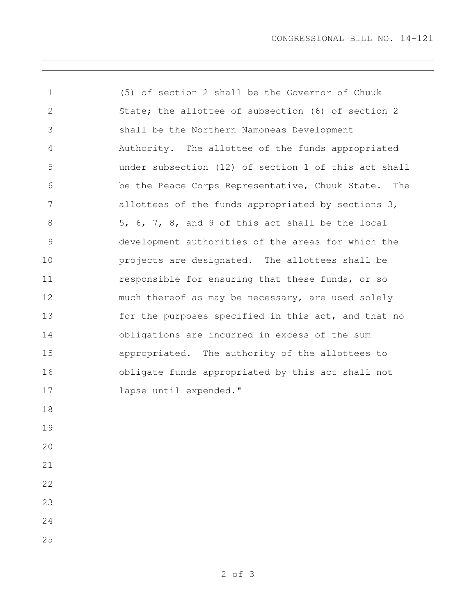CONGRESSIONAL BILL NO. 14-121

 (5) of section 2 shall be the Governor of Chuuk State; the allottee of subsection (6) of section 2 shall be the Northern Namoneas Development Authority. The allottee of the funds appropriated under subsection (12) of section 1 of this act shall be the Peace Corps Representative, Chuuk State. The allottees of the funds appropriated by sections 3, 5, 6, 7, 8, and 9 of this act shall be the local development authorities of the areas for which the projects are designated. The allottees shall be 11 responsible for ensuring that these funds, or so much thereof as may be necessary, are used solely 13 for the purposes specified in this act, and that no obligations are incurred in excess of the sum appropriated. The authority of the allottees to obligate funds appropriated by this act shall not lapse until expended."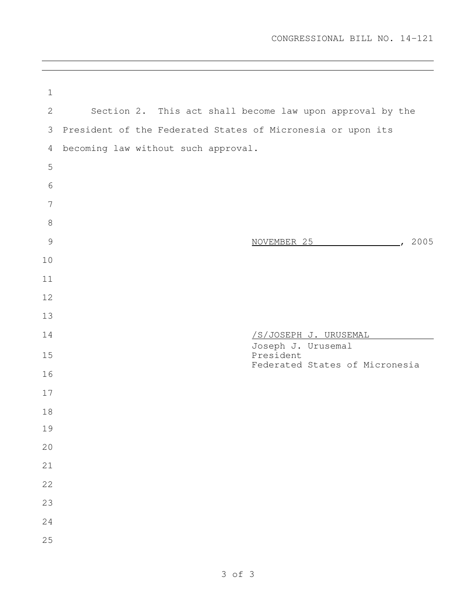| $\mathbf 1$     |                                     |                                                             |
|-----------------|-------------------------------------|-------------------------------------------------------------|
| 2               |                                     | Section 2. This act shall become law upon approval by the   |
| 3               |                                     | President of the Federated States of Micronesia or upon its |
| 4               | becoming law without such approval. |                                                             |
| 5               |                                     |                                                             |
| 6               |                                     |                                                             |
| $7\phantom{.0}$ |                                     |                                                             |
| $8\,$           |                                     |                                                             |
| $\mathcal{G}$   |                                     | $\sim$ , 2005<br>NOVEMBER 25                                |
| 10              |                                     |                                                             |
| 11              |                                     |                                                             |
| 12              |                                     |                                                             |
| 13              |                                     |                                                             |
| 14              |                                     | <u>/S/JOSEPH J. URUSEMAL</u><br>Joseph J. Urusemal          |
| 15              |                                     | President<br>Federated States of Micronesia                 |
| 16              |                                     |                                                             |
| 17              |                                     |                                                             |
| 18              |                                     |                                                             |
| 19              |                                     |                                                             |
| 20              |                                     |                                                             |
| 21              |                                     |                                                             |
| 22              |                                     |                                                             |
| 23              |                                     |                                                             |
| 24              |                                     |                                                             |
| 25              |                                     |                                                             |